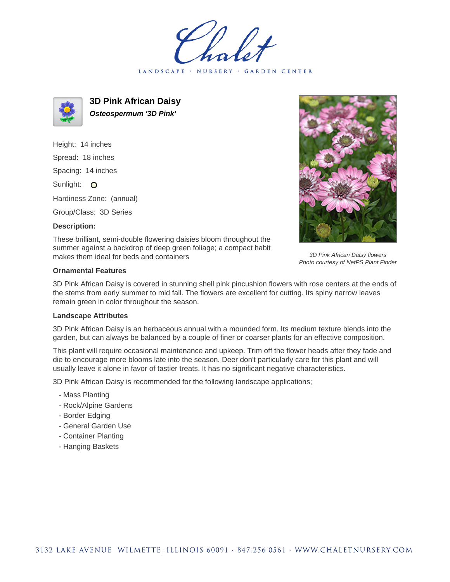LANDSCAPE · NURSERY · GARDEN CENTER



**3D Pink African Daisy Osteospermum '3D Pink'**

Height: 14 inches Spread: 18 inches Spacing: 14 inches Sunlight: O Hardiness Zone: (annual)

Group/Class: 3D Series

## **Description:**



3D Pink African Daisy flowers Photo courtesy of NetPS Plant Finder

These brilliant, semi-double flowering daisies bloom throughout the summer against a backdrop of deep green foliage; a compact habit makes them ideal for beds and containers

## **Ornamental Features**

3D Pink African Daisy is covered in stunning shell pink pincushion flowers with rose centers at the ends of the stems from early summer to mid fall. The flowers are excellent for cutting. Its spiny narrow leaves remain green in color throughout the season.

## **Landscape Attributes**

3D Pink African Daisy is an herbaceous annual with a mounded form. Its medium texture blends into the garden, but can always be balanced by a couple of finer or coarser plants for an effective composition.

This plant will require occasional maintenance and upkeep. Trim off the flower heads after they fade and die to encourage more blooms late into the season. Deer don't particularly care for this plant and will usually leave it alone in favor of tastier treats. It has no significant negative characteristics.

3D Pink African Daisy is recommended for the following landscape applications;

- Mass Planting
- Rock/Alpine Gardens
- Border Edging
- General Garden Use
- Container Planting
- Hanging Baskets